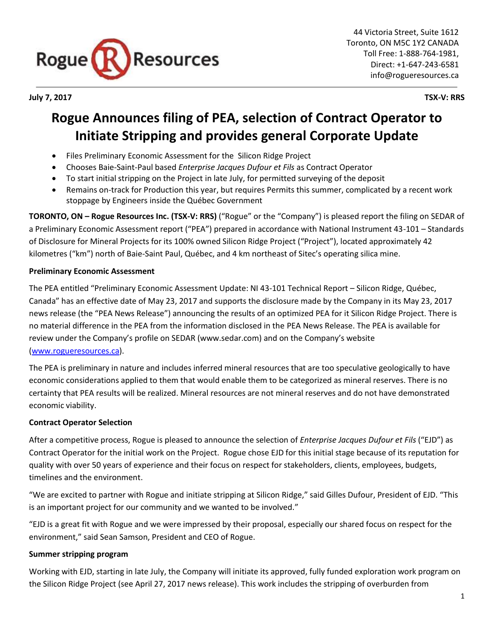

**July 7, 2017 TSX-V: RRS**

# **Rogue Announces filing of PEA, selection of Contract Operator to Initiate Stripping and provides general Corporate Update**

- Files Preliminary Economic Assessment for the Silicon Ridge Project
- Chooses Baie-Saint-Paul based *Enterprise Jacques Dufour et Fils* as Contract Operator
- To start initial stripping on the Project in late July, for permitted surveying of the deposit
- Remains on-track for Production this year, but requires Permits this summer, complicated by a recent work stoppage by Engineers inside the Québec Government

**TORONTO, ON – Rogue Resources Inc. (TSX-V: RRS)** ("Rogue" or the "Company") is pleased report the filing on SEDAR of a Preliminary Economic Assessment report ("PEA") prepared in accordance with National Instrument 43-101 – Standards of Disclosure for Mineral Projects for its 100% owned Silicon Ridge Project ("Project"), located approximately 42 kilometres ("km") north of Baie-Saint Paul, Québec, and 4 km northeast of Sitec's operating silica mine.

# **Preliminary Economic Assessment**

The PEA entitled "Preliminary Economic Assessment Update: NI 43-101 Technical Report – Silicon Ridge, Québec, Canada" has an effective date of May 23, 2017 and supports the disclosure made by the Company in its May 23, 2017 news release (the "PEA News Release") announcing the results of an optimized PEA for it Silicon Ridge Project. There is no material difference in the PEA from the information disclosed in the PEA News Release. The PEA is available for review under the Company's profile on SEDAR (www.sedar.com) and on the Company's website [\(www.rogueresources.ca\)](http://www.rogueresources.ca/).

The PEA is preliminary in nature and includes inferred mineral resources that are too speculative geologically to have economic considerations applied to them that would enable them to be categorized as mineral reserves. There is no certainty that PEA results will be realized. Mineral resources are not mineral reserves and do not have demonstrated economic viability.

# **Contract Operator Selection**

After a competitive process, Rogue is pleased to announce the selection of *Enterprise Jacques Dufour et Fils* ("EJD") as Contract Operator for the initial work on the Project. Rogue chose EJD for this initial stage because of its reputation for quality with over 50 years of experience and their focus on respect for stakeholders, clients, employees, budgets, timelines and the environment.

"We are excited to partner with Rogue and initiate stripping at Silicon Ridge," said Gilles Dufour, President of EJD. "This is an important project for our community and we wanted to be involved."

"EJD is a great fit with Rogue and we were impressed by their proposal, especially our shared focus on respect for the environment," said Sean Samson, President and CEO of Rogue.

# **Summer stripping program**

Working with EJD, starting in late July, the Company will initiate its approved, fully funded exploration work program on the Silicon Ridge Project (see April 27, 2017 news release). This work includes the stripping of overburden from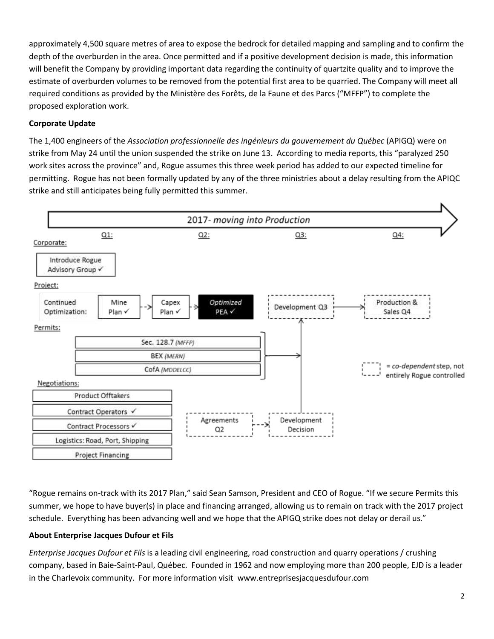approximately 4,500 square metres of area to expose the bedrock for detailed mapping and sampling and to confirm the depth of the overburden in the area. Once permitted and if a positive development decision is made, this information will benefit the Company by providing important data regarding the continuity of quartzite quality and to improve the estimate of overburden volumes to be removed from the potential first area to be quarried. The Company will meet all required conditions as provided by the Ministère des Forêts, de la Faune et des Parcs ("MFFP") to complete the proposed exploration work.

## **Corporate Update**

The 1,400 engineers of the *Association professionnelle des ingénieurs du gouvernement du Québec* (APIGQ) were on strike from May 24 until the union suspended the strike on June 13. According to media reports, this "paralyzed 250 work sites across the province" and, Rogue assumes this three week period has added to our expected timeline for permitting. Rogue has not been formally updated by any of the three ministries about a delay resulting from the APIQC strike and still anticipates being fully permitted this summer.



"Rogue remains on-track with its 2017 Plan," said Sean Samson, President and CEO of Rogue. "If we secure Permits this summer, we hope to have buyer(s) in place and financing arranged, allowing us to remain on track with the 2017 project schedule. Everything has been advancing well and we hope that the APIGQ strike does not delay or derail us."

## **About Enterprise Jacques Dufour et Fils**

*Enterprise Jacques Dufour et Fils* is a leading civil engineering, road construction and quarry operations / crushing company, based in Baie-Saint-Paul, Québec. Founded in 1962 and now employing more than 200 people, EJD is a leader in the Charlevoix community. For more information visit www.entreprisesjacquesdufour.com